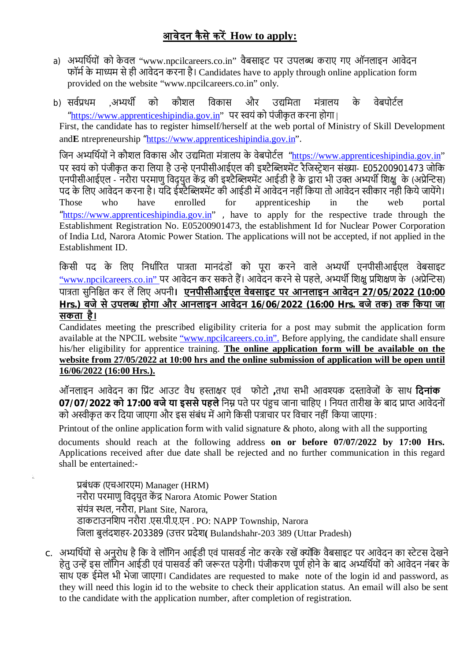## **आवेदन कै से करᱶHow to apply:**

- a) अभ्यर्थियों को केवल "www.npcilcareers.co.in" वैबसाइट पर उपलब्ध कराए गए ऑनलाइन आवेदन फॉर्म के माध्यम से ही आवेदन करना है। Candidates have to apply through online application form provided on the website "www.npcilcareers.co.in" only.
- b) सर्वप्रथम ,अभ्यर्थी को कोशल विकास और उद्यमिता मंत्रालय के वेबपोर्टल "https://www.apprenticeshipindia.gov.in" पर स्वयं को पंजीकृत करना होगा |

First, the candidate has to register himself/herself at the web portal of Ministry of Skill Development and**E** ntrepreneurship "https://www.apprenticeshipindia.gov.in".

जिन अभ्यर्थियों ने कौशल विकास और उद्यमिता मंत्रालय के वेबपोर्टल "https://www.apprenticeshipindia.gov.in" पर स्वयं को पंजीकृत करा लिया है उन्हे एनपीसीआईएल की इश्टैब्लिश्मेंट रैजिस्टेशन संख्या- E05200901473 जोकि एनपीसीआईएल - नरौरा परमाणु विद्युत केंद्र की इश्टैब्लिश्मेंट आईडी है के द्वारा भी उक्त अभ्यर्थी शिक्षु के (अप्रेन्टिस) पद के लिए आवेदन करना है। यदि ईश्टैब्लिश्मेंट की आईडी में आवेदन नहीं किया तो आवेदन स्वीकार नही किये जायेंगे।<br>Those who have enrolled for apprenticeship in the web portal who have enrolled for apprenticeship in the web portal "https://www.apprenticeshipindia.gov.in", have to apply for the respective trade through the Establishment Registration No. E05200901473, the establishment Id for Nuclear Power Corporation of India Ltd, Narora Atomic Power Station. The applications will not be accepted, if not applied in the Establishment ID.

किसी पद के लिए निर्धारित पात्रता मानदंडों को पूरा करने वाले अभ्यर्थी एनपीसीआईएल वेबसाइट "www.npcilcareers.co.in" पर आवेदन कर सकते हैं। आवेदन करने से पहले, अभ्यर्थी शिक्ष प्रशिक्षण के (अप्रेन्टिस) पाũता सुिनिʮत कर लŐिलए अपनी**। एनपीसीआईएल वेबसाइट पर आनलाइन आवेदन 27/05/2022 (10:00 Hrs.) बजेसे उपल̭ ध होगा और आनलाइन आवेदन 16/06/2022 (16:00 Hrs. बजेतक) तक िकया जा सकता है।**

Candidates meeting the prescribed eligibility criteria for a post may submit the application form available at the NPCIL website "www.npcilcareers.co.in". Before applying, the candidate shall ensure his/her eligibility for apprentice training. **The online application form will be available on the website from 27/05/2022 at 10:00 hrs and the online submission of application will be open until 16/06/2022 (16:00 Hrs.).**

ऑनलाइन आवेदन का प्रिंट आउट वैध हस्ताक्षर एवं फोटो ,तथा सभी आवश्यक दस्तावेजों के साथ **दिनांक 07/07/2022 को 17:00 बजेया इससेपहले**िनɻ पतेपर पंŠच जाना चािहए । िनयत तारीख के बाद Ůाɑ आवेदनों को अस्वीकृत कर दिया जाएगा और इस संबंध में आगे किसी पत्राचार पर विचार नहीं किया जाएगा:

Printout of the online application form with valid signature & photo, along with all the supporting

 documents should reach at the following address **on or before 07/07/2022 by 17:00 Hrs.** Applications received after due date shall be rejected and no further communication in this regard shall be entertained:-

Ůबंधक (एचआरएम) Manager (HRM) नरौरा परमाणु विद्युत केंद्र Narora Atomic Power Station संयंũ ̾थल, नरौरा, Plant Site, Narora, डाकटाउनिशप नरौरा .एस.पी.ए.एन . PO: NAPP Township, Narora िजला बुलंदशहर-203389 (उȅर Ůदेश**(** Bulandshahr-203 389 (Uttar Pradesh)

c.

c. अभ्यर्थियों से अनुरोध है कि वे लॉगिन आईडी एवं पासवर्ड नोट करके रखें क्योंकि वैबसाइट पर आवेदन का स्टेटस देखने न्तु सम्मा संस्था है। इस हो है कि उता का उन्हों जरूरत पड़ेगी। पंजीकरण पूर्ण होने के बाद अभ्यर्थियों को आवेदन नंबर के साथ एक ईमेल भी भेजा जाएगा। Candidates are requested to make note of the login id and password, as they will need this login id to the website to check their application status. An email will also be sent to the candidate with the application number, after completion of registration.